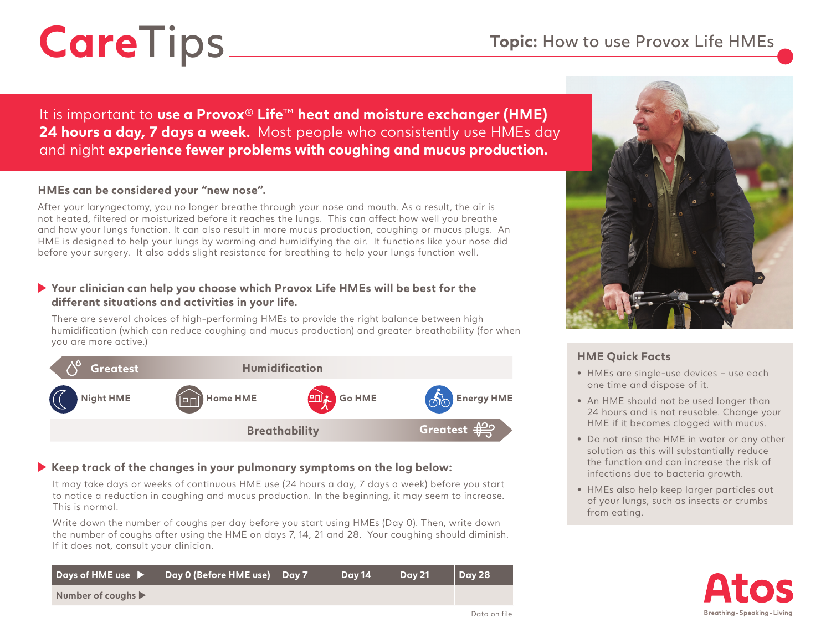# CareTips Topic: How to use Provox Life HMEs

It is important to **use a Provox**® **Life**™ **heat and moisture exchanger (HME) 24 hours a day, 7 days a week.** Most people who consistently use HMEs day and night **experience fewer problems with coughing and mucus production.**

#### **HMEs can be considered your "new nose".**

After your laryngectomy, you no longer breathe through your nose and mouth. As a result, the air is not heated, filtered or moisturized before it reaches the lungs. This can affect how well you breathe and how your lungs function. It can also result in more mucus production, coughing or mucus plugs. An HME is designed to help your lungs by warming and humidifying the air. It functions like your nose did before your surgery. It also adds slight resistance for breathing to help your lungs function well.

### **Your clinician can help you choose which Provox Life HMEs will be best for the different situations and activities in your life.**

There are several choices of high-performing HMEs to provide the right balance between high humidification (which can reduce coughing and mucus production) and greater breathability (for when you are more active.)



## **Keep track of the changes in your pulmonary symptoms on the log below:**

It may take days or weeks of continuous HME use (24 hours a day, 7 days a week) before you start to notice a reduction in coughing and mucus production. In the beginning, it may seem to increase. This is normal.

Write down the number of coughs per day before you start using HMEs (Day 0). Then, write down the number of coughs after using the HME on days 7, 14, 21 and 28. Your coughing should diminish. If it does not, consult your clinician.

| Days of HME use $\blacktriangleright$  | Day 0 (Before HME use) Day 7 | Dav 14 | Dav 21 | Day 28 |
|----------------------------------------|------------------------------|--------|--------|--------|
| Number of coughs $\blacktriangleright$ |                              |        |        |        |



# **HME Quick Facts**

- **•** HMEs are single-use devices use each one time and dispose of it.
- **•** An HME should not be used longer than 24 hours and is not reusable. Change your HME if it becomes clogged with mucus.
- **•** Do not rinse the HME in water or any other solution as this will substantially reduce the function and can increase the risk of infections due to bacteria growth.
- **•** HMEs also help keep larger particles out of your lungs, such as insects or crumbs from eating.